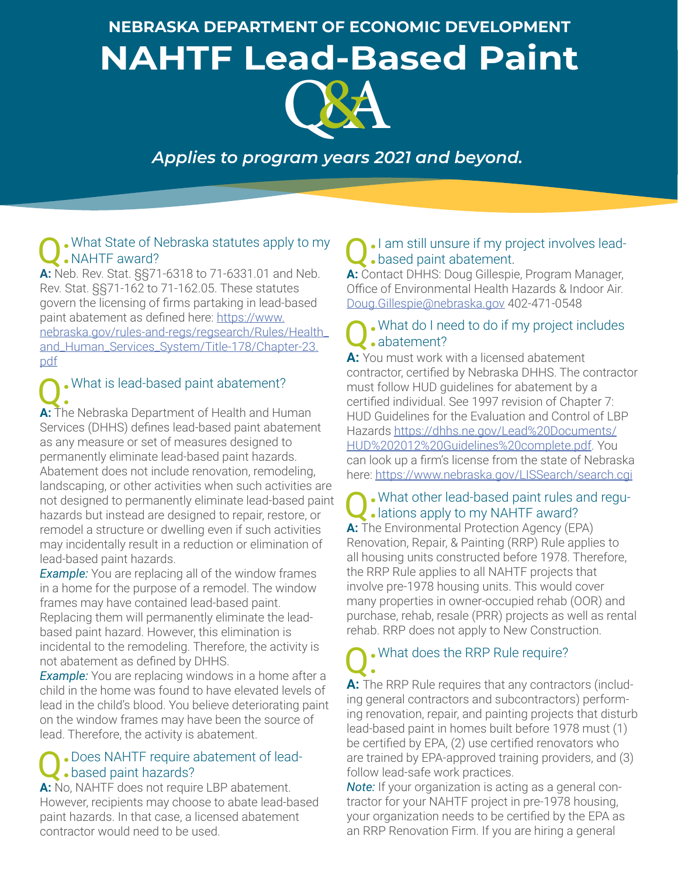**NEBRASKA DEPARTMENT OF ECONOMIC DEVELOPMENT**

**NAHTF Lead-Based Paint** 



## *Applies to program years 2021 and beyond.*

## . What State of Nebraska statutes apply to my **NAHTF** award?

**A:** Neb. Rev. Stat. §§71-6318 to 71-6331.01 and Neb. Rev. Stat. §§71-162 to 71-162.05. These statutes govern the licensing of firms partaking in lead-based paint abatement as defined here: [https://www.](https://www.nebraska.gov/rules-and-regs/regsearch/Rules/Health_and_Human_Services_System/Title-178/Chapter-23.pdf
) [nebraska.gov/rules-and-regs/regsearch/Rules/Health\\_](https://www.nebraska.gov/rules-and-regs/regsearch/Rules/Health_and_Human_Services_System/Title-178/Chapter-23.pdf
) [and\\_Human\\_Services\\_System/Title-178/Chapter-23.](https://www.nebraska.gov/rules-and-regs/regsearch/Rules/Health_and_Human_Services_System/Title-178/Chapter-23.pdf
) [pdf](https://www.nebraska.gov/rules-and-regs/regsearch/Rules/Health_and_Human_Services_System/Title-178/Chapter-23.pdf
)

# . What is lead-based paint abatement?

A: The Nebraska Department of Health and Human Services (DHHS) defines lead-based paint abatement as any measure or set of measures designed to permanently eliminate lead-based paint hazards. Abatement does not include renovation, remodeling, landscaping, or other activities when such activities are not designed to permanently eliminate lead-based paint hazards but instead are designed to repair, restore, or remodel a structure or dwelling even if such activities may incidentally result in a reduction or elimination of lead-based paint hazards.

*Example:* You are replacing all of the window frames in a home for the purpose of a remodel. The window frames may have contained lead-based paint. Replacing them will permanently eliminate the leadbased paint hazard. However, this elimination is incidental to the remodeling. Therefore, the activity is not abatement as defined by DHHS.

*Example:* You are replacing windows in a home after a child in the home was found to have elevated levels of lead in the child's blood. You believe deteriorating paint on the window frames may have been the source of lead. Therefore, the activity is abatement.

## . Does NAHTF require abatement of leadbased paint hazards?

**A:** No, NAHTF does not require LBP abatement. However, recipients may choose to abate lead-based paint hazards. In that case, a licensed abatement contractor would need to be used.

## Q:I am still unsure if my project involves leadbased paint abatement.

**A:** Contact DHHS: Doug Gillespie, Program Manager, Office of Environmental Health Hazards & Indoor Air. [Doug.Gillespie@nebraska.gov](mailto:Doug.Gillespie@nebraska.gov) 402-471-0548

## Q:What do I need to do if my project includes abatement?

**A:** You must work with a licensed abatement contractor, certified by Nebraska DHHS. The contractor must follow HUD guidelines for abatement by a certified individual. See 1997 revision of Chapter 7: HUD Guidelines for the Evaluation and Control of LBP Hazards [https://dhhs.ne.gov/Lead%20Documents/](https://dhhs.ne.gov/Lead%20Documents/HUD%202012%20Guidelines%20complete.pdf) [HUD%202012%20Guidelines%20complete.pdf](https://dhhs.ne.gov/Lead%20Documents/HUD%202012%20Guidelines%20complete.pdf). You can look up a firm's license from the state of Nebraska here:<https://www.nebraska.gov/LISSearch/search.cgi>

## Q: What other lead-based paint rules and regu-**.** lations apply to my NAHTF award?

**A:** The Environmental Protection Agency (EPA) Renovation, Repair, & Painting (RRP) Rule applies to all housing units constructed before 1978. Therefore, the RRP Rule applies to all NAHTF projects that involve pre-1978 housing units. This would cover many properties in owner-occupied rehab (OOR) and purchase, rehab, resale (PRR) projects as well as rental rehab. RRP does not apply to New Construction.

# . What does the RRP Rule require?

A: The RRP Rule requires that any contractors (including general contractors and subcontractors) performing renovation, repair, and painting projects that disturb lead-based paint in homes built before 1978 must (1) be certified by EPA, (2) use certified renovators who are trained by EPA-approved training providers, and (3) follow lead-safe work practices.

*Note:* If your organization is acting as a general contractor for your NAHTF project in pre-1978 housing, your organization needs to be certified by the EPA as an RRP Renovation Firm. If you are hiring a general